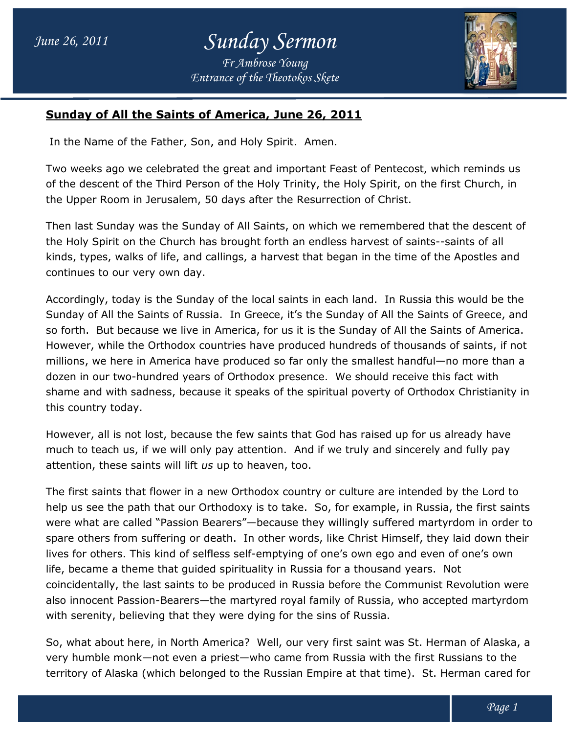

## **Sunday of All the Saints of America, June 26, 2011 Sunday of All the Saints of America, June**

In the Name of the Father, Son, and Holy Spirit. Amen.

Two weeks ago we celebrated the great and important Feast of Pentecost, which reminds us of the descent of the Third Person of the Holy Trinity, the Holy Spirit, on the first Church, in the Upper Room in Jerusalem, 50 days after the Resurrection of Christ. celebrated the great and important Feast of Pentecost, which reminds us<br>e Third Person of the Holy Trinity, the Holy Spirit, on the first Church, in<br>Jerusalem, 50 days after the Resurrection of Christ.

Then last Sunday was the Sunday of All Saints, on which we remembered that the descent of the Holy Spirit on the Church has brought forth an endless harvest of saints--saints of all kinds, types, walks of life, and callings, a harvest that began in the time of the Apostles and continues to our very own day. Then last Sunday was the Sunday of All Saints, on which we remembered that the descent of<br>the Holy Spirit on the Church has brought forth an endless harvest of saints--saints of all<br>kinds, types, walks of life, and calling

Accordingly, today is the Sunday of the local saints in each land. In Russia this would be the Sunday of All the Saints of Russia. In Greece, it's the Sunday of All the Saints of Greece, and so forth. But because we live in America, for us it is the Sunday of All the Saints of America. However, while the Orthodox countries have produced hundreds of thousands of saints, if not millions, we here in America have produced so far only the smallest handful—no more than a so forth. But because we live in America, for us it is the Sunday of All the Saints of Ameri<br>However, while the Orthodox countries have produced hundreds of thousands of saints, if<br>millions, we here in America have produce shame and with sadness, because it speaks of the spiritual poverty of Orthodox Christianity in this country today. In Russia this would be the<br>\Il the Saints of Greece, and<br>of All the Saints of America.

However, all is not lost, because the few saints that God has raised up for us already have shame and with sadness, because it speaks of the spiritual poverty of Orthodox Christianity<br>this country today.<br>However, all is not lost, because the few saints that God has raised up for us already have<br>much to teach us, attention, these saints will lift *us us* up to heaven, too.

The first saints that flower in a new Orthodox country or culture are intended by the Lord to The first saints that flower in a new Orthodox country or culture are intended by the Lord to<br>help us see the path that our Orthodoxy is to take. So, for example, in Russia, the first saints were what are called "Passion Bearers"—because they willingly suffered martyrdom in order to spare others from suffering or death. In other words, like Christ Himself, they laid down their lives for others. This kind of selfless self-emptying of one's own ego and even of one's own life, became a theme that guided spirituality in Russia for a thousand years. coincidentally, the last saints to be produced in Russia before the Communist Revolution were also innocent Passion-Bearers—the martyred royal family of Russia, who accepted martyrdom with serenity, believing that they were dying for the sins of Russia. coincidentally, the last saints to be produced in Russia before the Communist Revolution<br>also innocent Passion-Bearers—the martyred royal family of Russia, who accepted martyı<br>with serenity, believing that they were dying e, intion. And if we truly and sincerely and fully pay<br>baok country or culture are intended by the Lord to<br>is to take. So, for example, in Russia, the first saint<br>because they willingly suffered martyrdom in order<br>other wo

So, what about here, in North America? Well, our very first saint was St. Herman of Alaska, a So, what about here, in North America? Well, our very first saint was St. Herman of Alaska<br>very humble monk—not even a priest—who came from Russia with the first Russians to the territory of Alaska (which belonged to the Russian Empire at that time). St. Herman cared for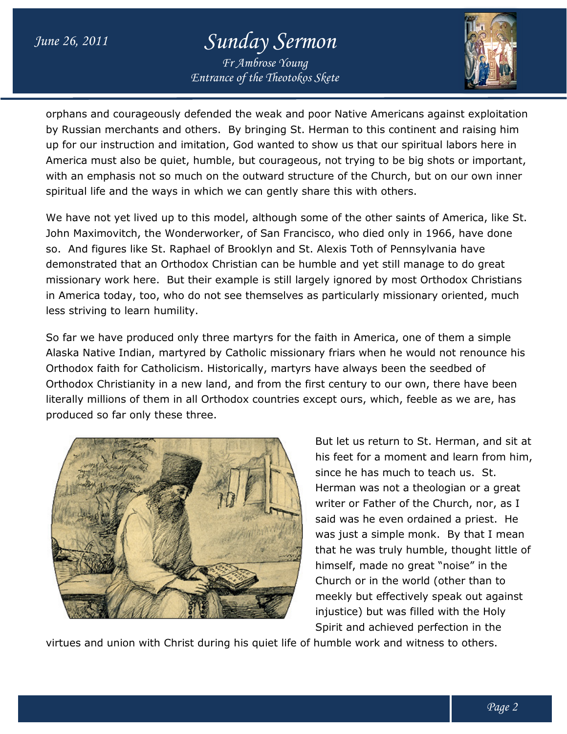## *June 26, 2011 Sunday Sermon*

*Entrance of the Theotokos Skete Fr Ambrose Young*



orphans and courageously defended the weak and poor Native Americans against exploitation orphans and courageously defended the weak and poor Native Americans against exploitatio<br>by Russian merchants and others. By bringing St. Herman to this continent and raising him up for our instruction and imitation, God wanted to show us that our spiritual labors here in by Russian merchants and others. By bringing St. Herman to this continent and raising him<br>up for our instruction and imitation, God wanted to show us that our spiritual labors here in<br>America must also be quiet, humble, bu with an emphasis not so much on the outward structure of the Church, but on our own inner spiritual life and the ways in which we can gently share this with others. quiet, humble, but courageous, not trying to be big shot:<br>so much on the outward structure of the Church, but on<br>ays in which we can gently share this with others.

We have not yet lived up to this model, although some of the other saints of America, like St. John Maximovitch, the Wonderworker, of San Francisco, who died only in 1966, have done so. And figures like St. Raphael of Brooklyn and St. Alexis Toth of Pennsylvania have so. And figures like St. Raphael of Brooklyn and St. Alexis Toth of Pennsylvania have<br>demonstrated that an Orthodox Christian can be humble and yet still manage to do great missionary work here. But their example is still largely ignored by most Orthodox Christians in America today, too, who do not see themselves as particularly missionary oriented, much less striving to learn humility. other saints of America,<br>died only in 1966, have<br>th of Pennsylvania have<br>yet still manage to do gr<br>ed by most Orthodox Chr<br>arly missionary oriented,<br>merica, one of them a sir<br>when he would not renou<br>ays been the seedbed of

So far we have produced only three martyrs for the faith in America, one of them a simple Alaska Native Indian, martyred by Catholic missionary friars when he would not renounce his Orthodox faith for Catholicism. Historically, martyrs have always been the seedbe Orthodox Christianity in a new land, and from the first century to our own, there have been literally millions of them in all Orthodox countries except ours, which, feeble as we are, has produced so far only these three. three. iary work here. But their example is still largely ignored by most Orthodox Christians<br>rica today, too, who do not see themselves as particularly missionary oriented, much<br>iving to learn humility.<br>we have produced only thr



But let us return to St. Herman, and sit at his feet for a moment and learn from him,<br>since he has much to teach us. St. since he has much to teach us. St. Herman was not a theologian or a great writer or Father of the Church, nor, as I said was he even ordained a priest. He was just a simple monk. By that I mean that he was truly humble, thought little of himself, made no great "noise" in the Church or in the world (other than to meekly but effectively speak out against injustice) but was filled with the Holy Spirit and achieved perfection in the nan was not a theologian or a great<br>Ir or Father of the Church, nor, as I<br>was he even ordained a priest. He that he was truly humble, thought lit<br>himself, made no great "noise" in the<br>Church or in the world (other than to<br>meekly but effectively speak out aga<br>injustice) but was filled with the Holy<br>Spirit and achieved perfection

virtues and union with Christ during his quiet life of humble work and witness to others.